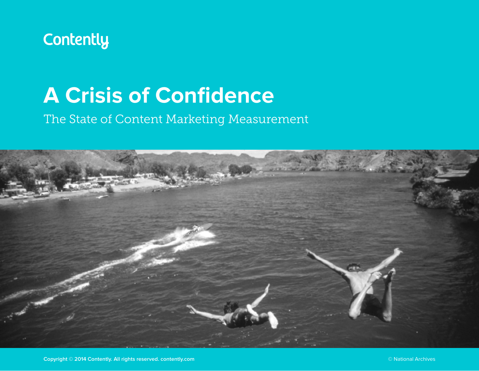

# **A Crisis of Confidence**

### The State of Content Marketing Measurement

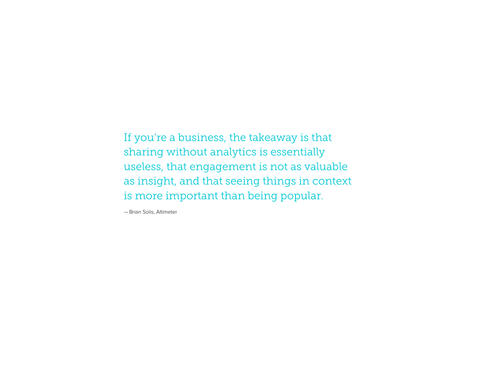If you're a business, the takeaway is that sharing without analytics is essentially useless, that engagement is not as valuable as insight, and that seeing things in context is more important than being popular.

— Brian Solis, Altimeter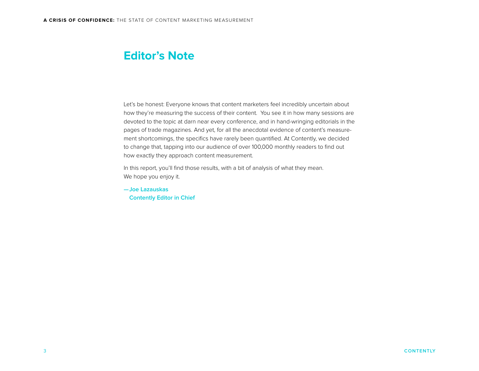#### **Editor's Note**

Let's be honest: Everyone knows that content marketers feel incredibly uncertain about how they're measuring the success of their content. You see it in how many sessions are devoted to the topic at darn near every conference, and in hand-wringing editorials in the pages of trade magazines. And yet, for all the anecdotal evidence of content's measurement shortcomings, the specifics have rarely been quantified. At Contently, we decided to change that, tapping into our audience of over 100,000 monthly readers to find out how exactly they approach content measurement.

In this report, you'll find those results, with a bit of analysis of what they mean. We hope you enjoy it.

**—Joe Lazauskas Contently Editor in Chief**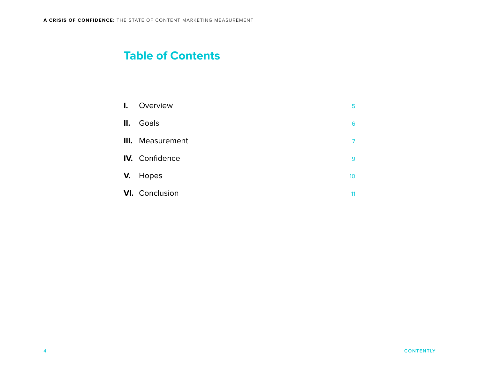#### **Table of Contents**

| $\mathbf{l}$ . | Overview              | 5               |
|----------------|-----------------------|-----------------|
| II.            | Goals                 | 6               |
|                | III. Measurement      | 7               |
|                | <b>IV.</b> Confidence | 9               |
|                | V. Hopes              | 10 <sup>°</sup> |
|                | <b>VI.</b> Conclusion | 11              |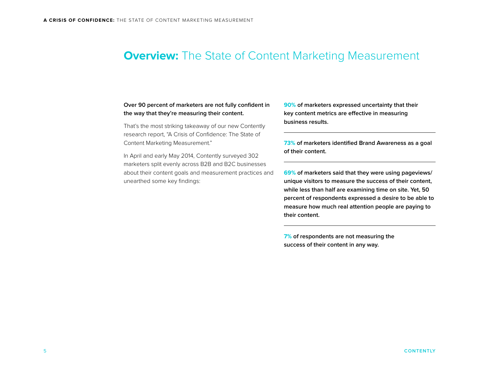#### <span id="page-4-0"></span>**Overview:** The State of Content Marketing Measurement

#### **Over 90 percent of marketers are not fully confident in the way that they're measuring their content.**

That's the most striking takeaway of our new Contently research report, "A Crisis of Confidence: The State of Content Marketing Measurement."

In April and early May 2014, Contently surveyed 302 marketers split evenly across B2B and B2C businesses about their content goals and measurement practices and unearthed some key findings:

**90% of marketers expressed uncertainty that their key content metrics are effective in measuring business results.**

**73% of marketers identified Brand Awareness as a goal of their content.**

**69% of marketers said that they were using pageviews/ unique visitors to measure the success of their content, while less than half are examining time on site. Yet, 50 percent of respondents expressed a desire to be able to measure how much real attention people are paying to their content.**

**7% of respondents are not measuring the success of their content in any way.**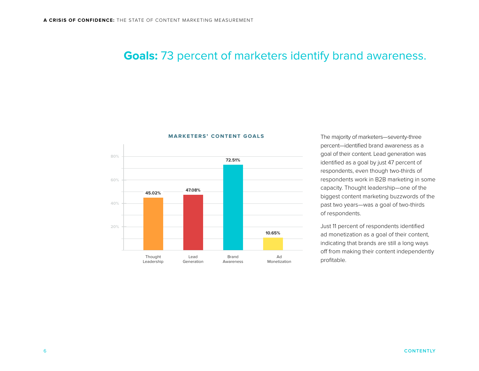#### <span id="page-5-0"></span>**Goals:** 73 percent of marketers identify brand awareness.



#### **marketers' content goals**

The majority of marketers—seventy-three percent—identified brand awareness as a goal of their content. Lead generation was identified as a goal by just 47 percent of respondents, even though two-thirds of respondents work in B2B marketing in some capacity. Thought leadership—one of the biggest content marketing buzzwords of the past two years—was a goal of two-thirds of respondents.

Just 11 percent of respondents identified ad monetization as a goal of their content, indicating that brands are still a long ways off from making their content independently profitable.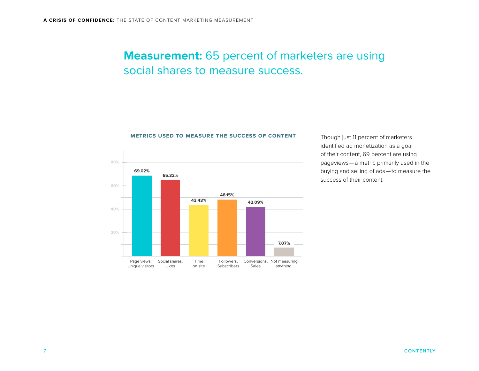### <span id="page-6-0"></span>**Measurement:** 65 percent of marketers are using social shares to measure success.





Though just 11 percent of marketers identified ad monetization as a goal of their content, 69 percent are using pageviews—a metric primarily used in the buying and selling of ads—to measure the success of their content.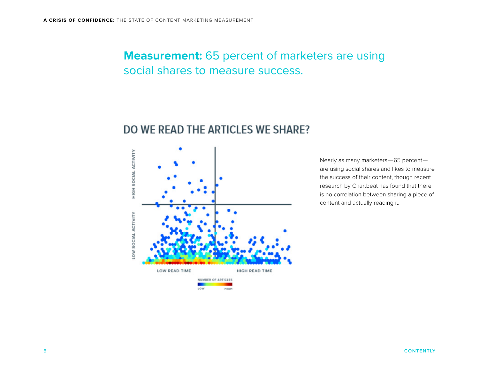#### **Measurement:** 65 percent of marketers are using social shares to measure success.

#### DO WE READ THE ARTICLES WE SHARE?



Nearly as many marketers—65 percent are using social shares and likes to measure the success of their content, though recent research by Chartbeat has found that there is no correlation between sharing a piece of content and actually reading it.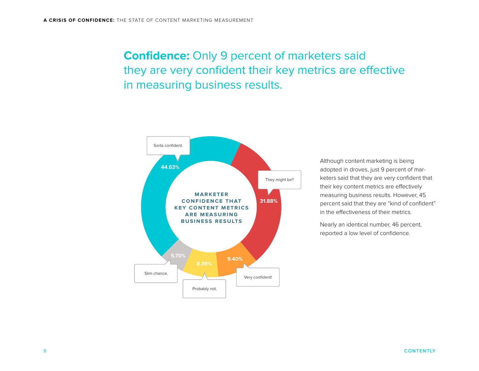## <span id="page-8-0"></span>**Confidence:** Only 9 percent of marketers said they are very confident their key metrics are effective in measuring business results.



Although content marketing is being adopted in droves, just 9 percent of marketers said that they are very confident that their key content metrics are effectively measuring business results. However, 45 percent said that they are "kind of confident" in the effectiveness of their metrics.

Nearly an identical number, 46 percent, reported a low level of confidence.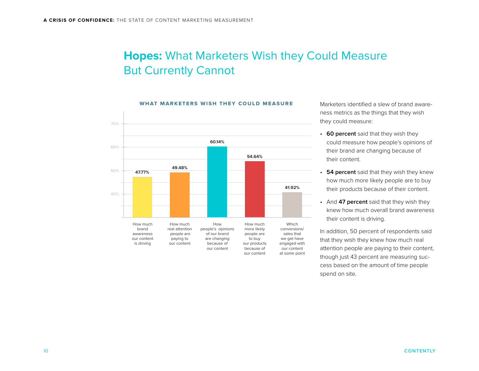### <span id="page-9-0"></span>**Hopes:** What Marketers Wish they Could Measure But Currently Cannot

#### **what marketers wish they could measure**



Marketers identified a slew of brand awareness metrics as the things that they wish they could measure:

- **60 percent** said that they wish they could measure how people's opinions of their brand are changing because of their content.
- **54 percent** said that they wish they knew how much more likely people are to buy their products because of their content.
- And **47 percent** said that they wish they knew how much overall brand awareness their content is driving.

In addition, 50 percent of respondents said that they wish they knew how much real attention people are paying to their content, though just 43 percent are measuring success based on the amount of time people spend on site.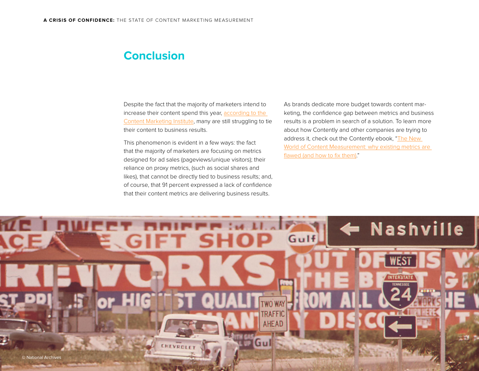#### <span id="page-10-0"></span>**Conclusion**

Despite the fact that the majority of marketers intend to increase their content spend this year, according to the [Content Marketing Institute](http://contentmarketinginstitute.com/wp-content/uploads/2013/10/B2C_Research_2014-withlinks.pdf), many are still struggling to tie their content to business results.

This phenomenon is evident in a few ways: the fact that the majority of marketers are focusing on metrics designed for ad sales (pageviews/unique visitors); their reliance on proxy metrics, (such as social shares and likes), that cannot be directly tied to business results; and, of course, that 91 percent expressed a lack of confidence that their content metrics are delivering business results.

As brands dedicate more budget towards content marketing, the confidence gap between metrics and business results is a problem in search of a solution. To learn more about how Contently and other companies are trying to address it, check out the Contently ebook, "The New [World of Content Measurement: why existing metrics are](http://contently.com/strategist/2014/05/07/why-content-marketers-are-using-all-the-wrong-metrics-and-what-they-should-be-measuring-instead/)  [flawed \(and how to fix them\)](http://contently.com/strategist/2014/05/07/why-content-marketers-are-using-all-the-wrong-metrics-and-what-they-should-be-measuring-instead/)."